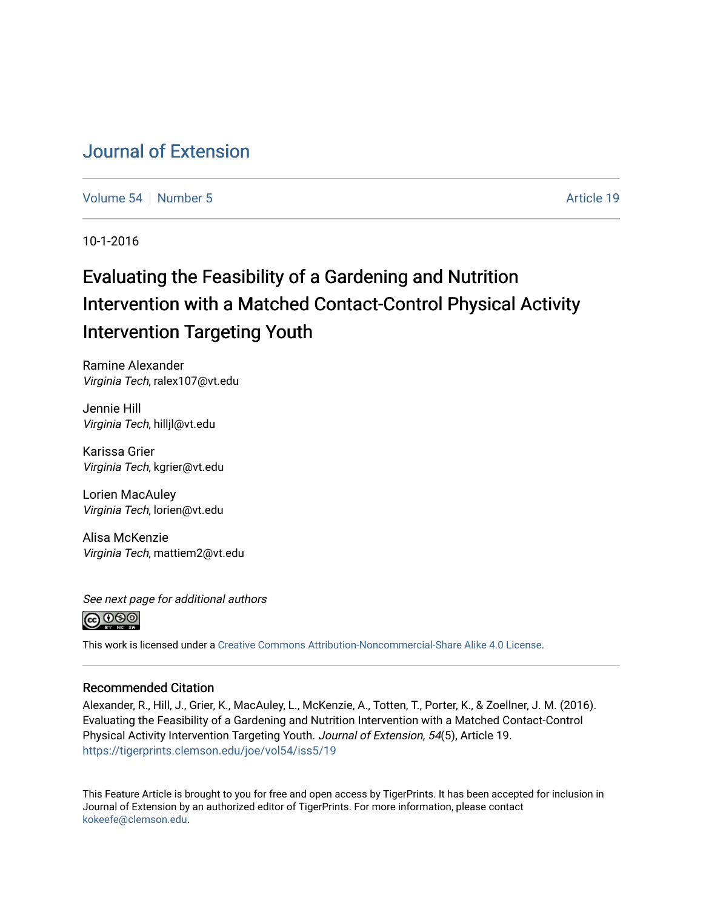# [Journal of Extension](https://tigerprints.clemson.edu/joe)

[Volume 54](https://tigerprints.clemson.edu/joe/vol54) [Number 5](https://tigerprints.clemson.edu/joe/vol54/iss5) Article 19

10-1-2016

# Evaluating the Feasibility of a Gardening and Nutrition Intervention with a Matched Contact-Control Physical Activity Intervention Targeting Youth

Ramine Alexander Virginia Tech, ralex107@vt.edu

Jennie Hill Virginia Tech, hilljl@vt.edu

Karissa Grier Virginia Tech, kgrier@vt.edu

Lorien MacAuley Virginia Tech, lorien@vt.edu

Alisa McKenzie Virginia Tech, mattiem2@vt.edu

See next page for additional authors



This work is licensed under a [Creative Commons Attribution-Noncommercial-Share Alike 4.0 License.](https://creativecommons.org/licenses/by-nc-sa/4.0/)

#### Recommended Citation

Alexander, R., Hill, J., Grier, K., MacAuley, L., McKenzie, A., Totten, T., Porter, K., & Zoellner, J. M. (2016). Evaluating the Feasibility of a Gardening and Nutrition Intervention with a Matched Contact-Control Physical Activity Intervention Targeting Youth. Journal of Extension, 54(5), Article 19. <https://tigerprints.clemson.edu/joe/vol54/iss5/19>

This Feature Article is brought to you for free and open access by TigerPrints. It has been accepted for inclusion in Journal of Extension by an authorized editor of TigerPrints. For more information, please contact [kokeefe@clemson.edu](mailto:kokeefe@clemson.edu).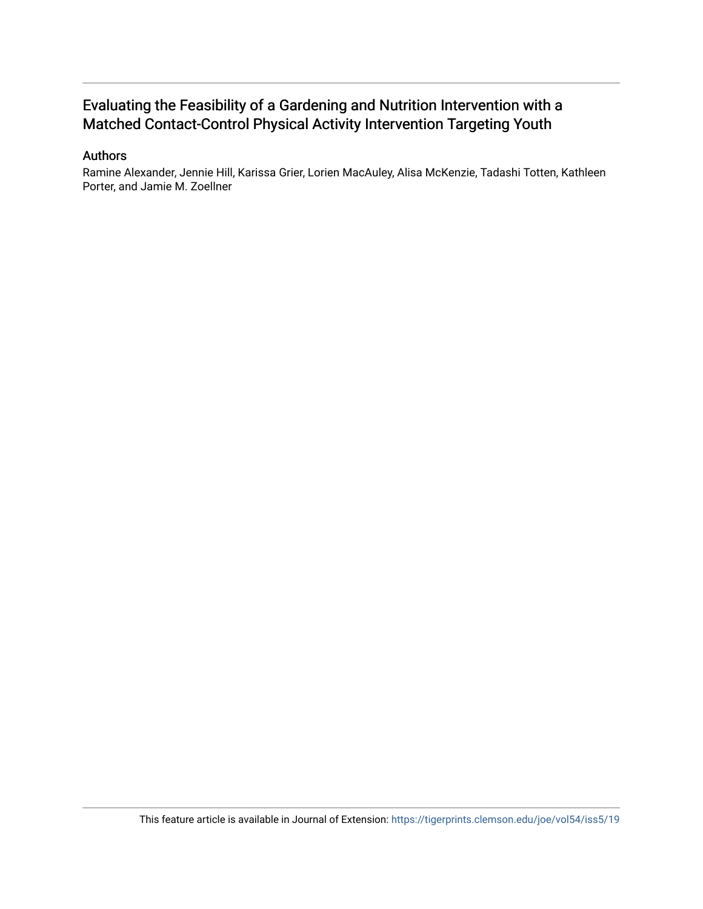# Evaluating the Feasibility of a Gardening and Nutrition Intervention with a Matched Contact-Control Physical Activity Intervention Targeting Youth

#### Authors

Ramine Alexander, Jennie Hill, Karissa Grier, Lorien MacAuley, Alisa McKenzie, Tadashi Totten, Kathleen Porter, and Jamie M. Zoellner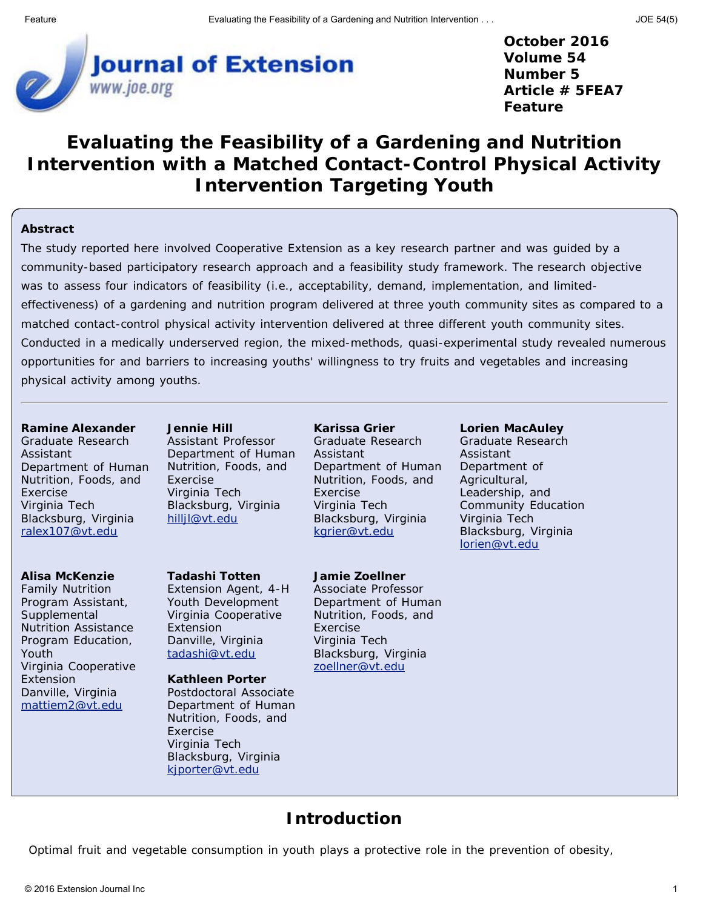

**October 2016 Volume 54 Number 5 Article # 5FEA7 Feature**

# **Evaluating the Feasibility of a Gardening and Nutrition Intervention with a Matched Contact-Control Physical Activity Intervention Targeting Youth**

#### **Abstract**

The study reported here involved Cooperative Extension as a key research partner and was guided by a community-based participatory research approach and a feasibility study framework. The research objective was to assess four indicators of feasibility (i.e., acceptability, demand, implementation, and limitedeffectiveness) of a gardening and nutrition program delivered at three youth community sites as compared to a matched contact-control physical activity intervention delivered at three different youth community sites. Conducted in a medically underserved region, the mixed-methods, quasi-experimental study revealed numerous opportunities for and barriers to increasing youths' willingness to try fruits and vegetables and increasing physical activity among youths.

#### **Ramine Alexander**

Graduate Research Assistant Department of Human Nutrition, Foods, and Exercise Virginia Tech Blacksburg, Virginia [ralex107@vt.edu](mailto:ralex107@vt.edu)

#### **Alisa McKenzie**

Family Nutrition Program Assistant, **Supplemental** Nutrition Assistance Program Education, Youth Virginia Cooperative Extension Danville, Virginia [mattiem2@vt.edu](mailto:mattiem2@vt.edu)

**Jennie Hill**

Assistant Professor Department of Human Nutrition, Foods, and Exercise Virginia Tech Blacksburg, Virginia [hilljl@vt.edu](mailto:hilljl@vt.edu)

#### **Tadashi Totten**

Extension Agent, 4-H Youth Development Virginia Cooperative Extension Danville, Virginia [tadashi@vt.edu](mailto:tadashi@vt.edu)

#### **Kathleen Porter**

Postdoctoral Associate Department of Human Nutrition, Foods, and Exercise Virginia Tech Blacksburg, Virginia [kjporter@vt.edu](mailto:kjporter@vt.edu)

#### **Karissa Grier**

**Jamie Zoellner** Associate Professor Department of Human Nutrition, Foods, and

Blacksburg, Virginia [zoellner@vt.edu](mailto:zoellner@vt.edu)

Exercise Virginia Tech

Graduate Research Assistant Department of Human Nutrition, Foods, and Exercise Virginia Tech Blacksburg, Virginia [kgrier@vt.edu](mailto:kgrier@vt.edu)

# **Lorien MacAuley**

Graduate Research Assistant Department of Agricultural, Leadership, and Community Education Virginia Tech Blacksburg, Virginia [lorien@vt.edu](mailto:lorien@vt.edu)

### **Introduction**

Optimal fruit and vegetable consumption in youth plays a protective role in the prevention of obesity,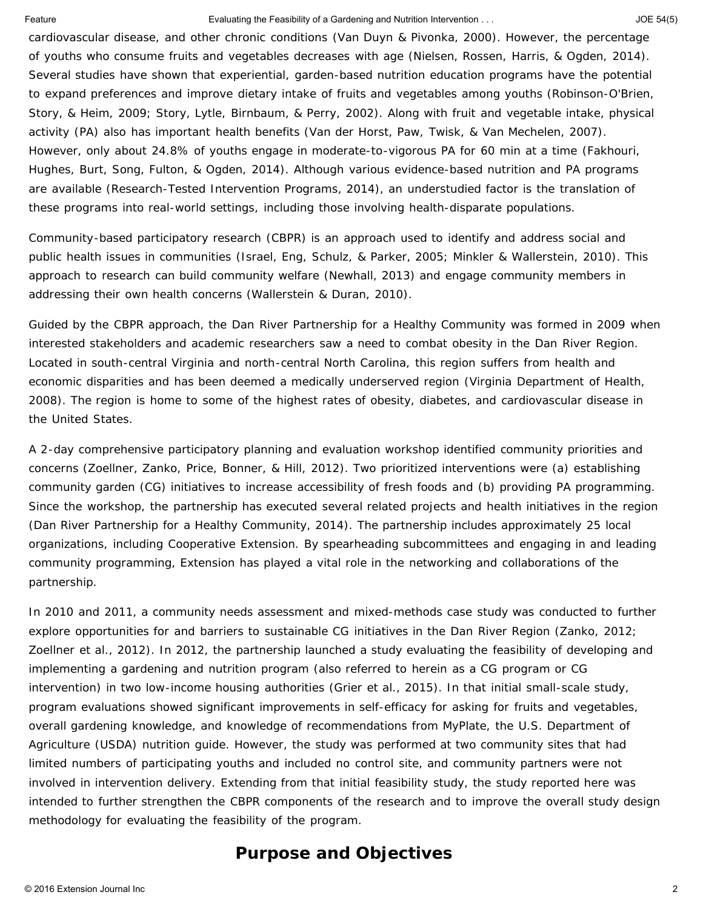#### Feature Evaluating the Feasibility of a Gardening and Nutrition Intervention . . . JOE 54(5)

cardiovascular disease, and other chronic conditions (Van Duyn & Pivonka, 2000). However, the percentage of youths who consume fruits and vegetables decreases with age (Nielsen, Rossen, Harris, & Ogden, 2014). Several studies have shown that experiential, garden-based nutrition education programs have the potential to expand preferences and improve dietary intake of fruits and vegetables among youths (Robinson-O'Brien, Story, & Heim, 2009; Story, Lytle, Birnbaum, & Perry, 2002). Along with fruit and vegetable intake, physical activity (PA) also has important health benefits (Van der Horst, Paw, Twisk, & Van Mechelen, 2007). However, only about 24.8% of youths engage in moderate-to-vigorous PA for 60 min at a time (Fakhouri, Hughes, Burt, Song, Fulton, & Ogden, 2014). Although various evidence-based nutrition and PA programs are available (Research-Tested Intervention Programs, 2014), an understudied factor is the translation of these programs into real-world settings, including those involving health-disparate populations.

Community-based participatory research (CBPR) is an approach used to identify and address social and public health issues in communities (Israel, Eng, Schulz, & Parker, 2005; Minkler & Wallerstein, 2010). This approach to research can build community welfare (Newhall, 2013) and engage community members in addressing their own health concerns (Wallerstein & Duran, 2010).

Guided by the CBPR approach, the Dan River Partnership for a Healthy Community was formed in 2009 when interested stakeholders and academic researchers saw a need to combat obesity in the Dan River Region. Located in south-central Virginia and north-central North Carolina, this region suffers from health and economic disparities and has been deemed a medically underserved region (Virginia Department of Health, 2008). The region is home to some of the highest rates of obesity, diabetes, and cardiovascular disease in the United States.

A 2-day comprehensive participatory planning and evaluation workshop identified community priorities and concerns (Zoellner, Zanko, Price, Bonner, & Hill, 2012). Two prioritized interventions were (a) establishing community garden (CG) initiatives to increase accessibility of fresh foods and (b) providing PA programming. Since the workshop, the partnership has executed several related projects and health initiatives in the region (Dan River Partnership for a Healthy Community, 2014). The partnership includes approximately 25 local organizations, including Cooperative Extension. By spearheading subcommittees and engaging in and leading community programming, Extension has played a vital role in the networking and collaborations of the partnership.

In 2010 and 2011, a community needs assessment and mixed-methods case study was conducted to further explore opportunities for and barriers to sustainable CG initiatives in the Dan River Region (Zanko, 2012; Zoellner et al., 2012). In 2012, the partnership launched a study evaluating the feasibility of developing and implementing a gardening and nutrition program (also referred to herein as a CG program or CG intervention) in two low-income housing authorities (Grier et al., 2015). In that initial small-scale study, program evaluations showed significant improvements in self-efficacy for asking for fruits and vegetables, overall gardening knowledge, and knowledge of recommendations from MyPlate, the U.S. Department of Agriculture (USDA) nutrition guide. However, the study was performed at two community sites that had limited numbers of participating youths and included no control site, and community partners were not involved in intervention delivery. Extending from that initial feasibility study, the study reported here was intended to further strengthen the CBPR components of the research and to improve the overall study design methodology for evaluating the feasibility of the program.

## **Purpose and Objectives**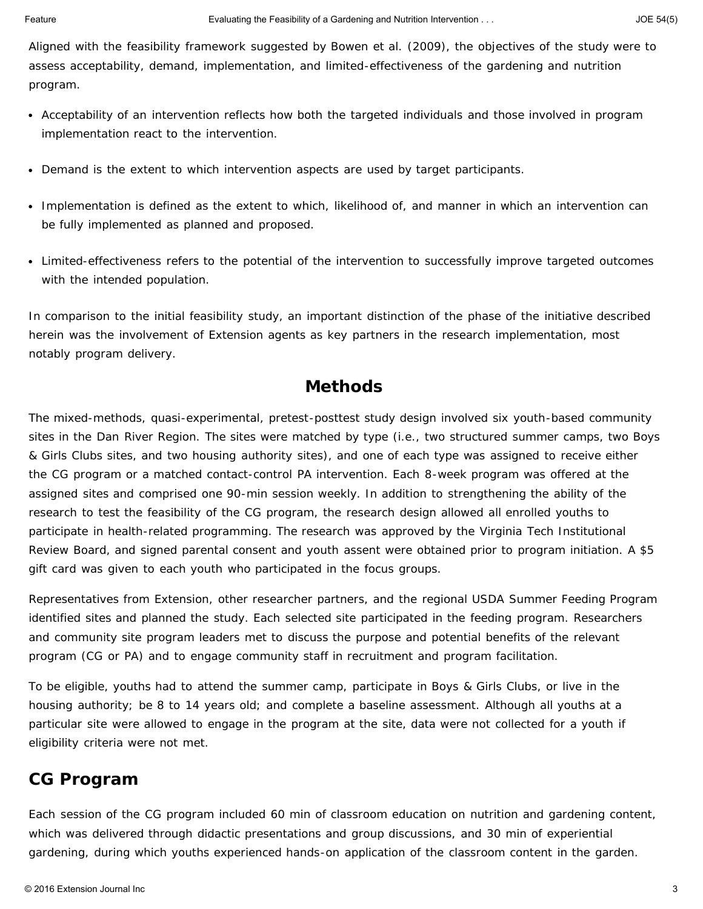Aligned with the feasibility framework suggested by Bowen et al. (2009), the objectives of the study were to assess acceptability, demand, implementation, and limited-effectiveness of the gardening and nutrition program.

- Acceptability of an intervention reflects how both the targeted individuals and those involved in program implementation react to the intervention.
- Demand is the extent to which intervention aspects are used by target participants.
- Implementation is defined as the extent to which, likelihood of, and manner in which an intervention can be fully implemented as planned and proposed.
- Limited-effectiveness refers to the potential of the intervention to successfully improve targeted outcomes with the intended population.

In comparison to the initial feasibility study, an important distinction of the phase of the initiative described herein was the involvement of Extension agents as key partners in the research implementation, most notably program delivery.

### **Methods**

The mixed-methods, quasi-experimental, pretest-posttest study design involved six youth-based community sites in the Dan River Region. The sites were matched by type (i.e., two structured summer camps, two Boys & Girls Clubs sites, and two housing authority sites), and one of each type was assigned to receive either the CG program or a matched contact-control PA intervention. Each 8-week program was offered at the assigned sites and comprised one 90-min session weekly. In addition to strengthening the ability of the research to test the feasibility of the CG program, the research design allowed all enrolled youths to participate in health-related programming. The research was approved by the Virginia Tech Institutional Review Board, and signed parental consent and youth assent were obtained prior to program initiation. A \$5 gift card was given to each youth who participated in the focus groups.

Representatives from Extension, other researcher partners, and the regional USDA Summer Feeding Program identified sites and planned the study. Each selected site participated in the feeding program. Researchers and community site program leaders met to discuss the purpose and potential benefits of the relevant program (CG or PA) and to engage community staff in recruitment and program facilitation.

To be eligible, youths had to attend the summer camp, participate in Boys & Girls Clubs, or live in the housing authority; be 8 to 14 years old; and complete a baseline assessment. Although all youths at a particular site were allowed to engage in the program at the site, data were not collected for a youth if eligibility criteria were not met.

## **CG Program**

Each session of the CG program included 60 min of classroom education on nutrition and gardening content, which was delivered through didactic presentations and group discussions, and 30 min of experiential gardening, during which youths experienced hands-on application of the classroom content in the garden.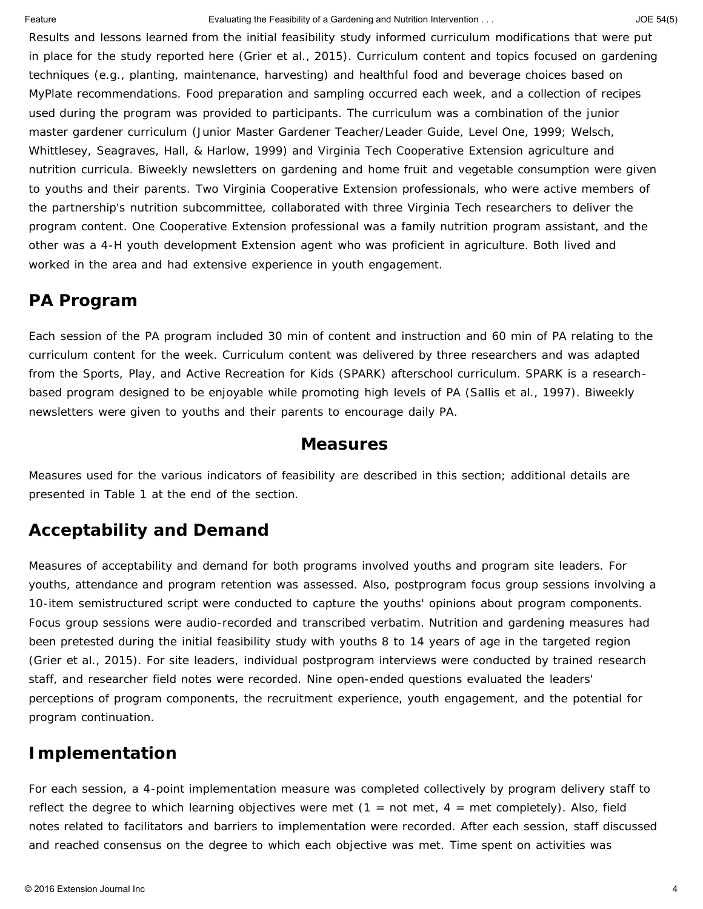#### Feature Evaluating the Feasibility of a Gardening and Nutrition Intervention . . . JOE 54(5)

Results and lessons learned from the initial feasibility study informed curriculum modifications that were put in place for the study reported here (Grier et al., 2015). Curriculum content and topics focused on gardening techniques (e.g., planting, maintenance, harvesting) and healthful food and beverage choices based on MyPlate recommendations. Food preparation and sampling occurred each week, and a collection of recipes used during the program was provided to participants. The curriculum was a combination of the junior master gardener curriculum (Junior Master Gardener Teacher/Leader Guide, Level One, 1999; Welsch, Whittlesey, Seagraves, Hall, & Harlow, 1999) and Virginia Tech Cooperative Extension agriculture and nutrition curricula. Biweekly newsletters on gardening and home fruit and vegetable consumption were given to youths and their parents. Two Virginia Cooperative Extension professionals, who were active members of the partnership's nutrition subcommittee, collaborated with three Virginia Tech researchers to deliver the program content. One Cooperative Extension professional was a family nutrition program assistant, and the other was a 4-H youth development Extension agent who was proficient in agriculture. Both lived and worked in the area and had extensive experience in youth engagement.

## **PA Program**

Each session of the PA program included 30 min of content and instruction and 60 min of PA relating to the curriculum content for the week. Curriculum content was delivered by three researchers and was adapted from the Sports, Play, and Active Recreation for Kids (SPARK) afterschool curriculum. SPARK is a researchbased program designed to be enjoyable while promoting high levels of PA (Sallis et al., 1997). Biweekly newsletters were given to youths and their parents to encourage daily PA.

#### **Measures**

Measures used for the various indicators of feasibility are described in this section; additional details are presented in Table 1 at the end of the section.

## **Acceptability and Demand**

Measures of acceptability and demand for both programs involved youths and program site leaders. For youths, attendance and program retention was assessed. Also, postprogram focus group sessions involving a 10-item semistructured script were conducted to capture the youths' opinions about program components. Focus group sessions were audio-recorded and transcribed verbatim. Nutrition and gardening measures had been pretested during the initial feasibility study with youths 8 to 14 years of age in the targeted region (Grier et al., 2015). For site leaders, individual postprogram interviews were conducted by trained research staff, and researcher field notes were recorded. Nine open-ended questions evaluated the leaders' perceptions of program components, the recruitment experience, youth engagement, and the potential for program continuation.

## **Implementation**

For each session, a 4-point implementation measure was completed collectively by program delivery staff to reflect the degree to which learning objectives were met (1 = *not met*, 4 = *met completely*). Also, field notes related to facilitators and barriers to implementation were recorded. After each session, staff discussed and reached consensus on the degree to which each objective was met. Time spent on activities was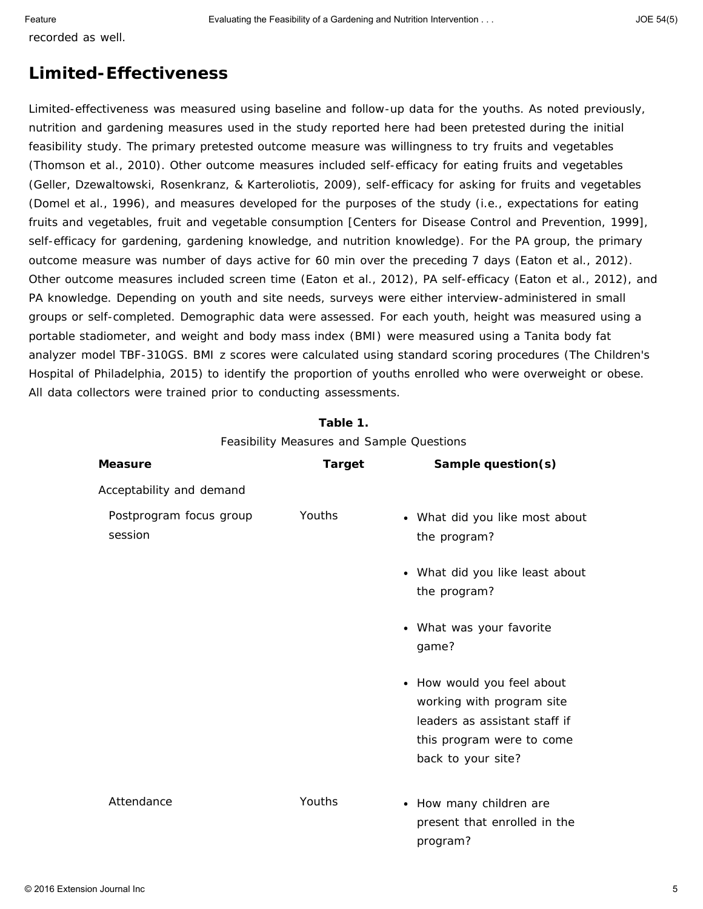recorded as well.

## **Limited-Effectiveness**

Limited-effectiveness was measured using baseline and follow-up data for the youths. As noted previously, nutrition and gardening measures used in the study reported here had been pretested during the initial feasibility study. The primary pretested outcome measure was willingness to try fruits and vegetables (Thomson et al., 2010). Other outcome measures included self-efficacy for eating fruits and vegetables (Geller, Dzewaltowski, Rosenkranz, & Karteroliotis, 2009), self-efficacy for asking for fruits and vegetables (Domel et al., 1996), and measures developed for the purposes of the study (i.e., expectations for eating fruits and vegetables, fruit and vegetable consumption [Centers for Disease Control and Prevention, 1999], self-efficacy for gardening, gardening knowledge, and nutrition knowledge). For the PA group, the primary outcome measure was number of days active for 60 min over the preceding 7 days (Eaton et al., 2012). Other outcome measures included screen time (Eaton et al., 2012), PA self-efficacy (Eaton et al., 2012), and PA knowledge. Depending on youth and site needs, surveys were either interview-administered in small groups or self-completed. Demographic data were assessed. For each youth, height was measured using a portable stadiometer, and weight and body mass index (BMI) were measured using a Tanita body fat analyzer model TBF-310GS. BMI *z* scores were calculated using standard scoring procedures (The Children's Hospital of Philadelphia, 2015) to identify the proportion of youths enrolled who were overweight or obese. All data collectors were trained prior to conducting assessments.

| Feasibility Measures and Sample Questions |               |                                                                                                                                             |  |  |  |  |  |  |
|-------------------------------------------|---------------|---------------------------------------------------------------------------------------------------------------------------------------------|--|--|--|--|--|--|
| <b>Measure</b>                            | <b>Target</b> | Sample question(s)                                                                                                                          |  |  |  |  |  |  |
| Acceptability and demand                  |               |                                                                                                                                             |  |  |  |  |  |  |
| Postprogram focus group<br>session        | <b>Youths</b> | • What did you like most about<br>the program?                                                                                              |  |  |  |  |  |  |
|                                           |               | • What did you like least about<br>the program?                                                                                             |  |  |  |  |  |  |
|                                           |               | • What was your favorite<br>game?                                                                                                           |  |  |  |  |  |  |
|                                           |               | • How would you feel about<br>working with program site<br>leaders as assistant staff if<br>this program were to come<br>back to your site? |  |  |  |  |  |  |
| Attendance                                | Youths        | • How many children are<br>present that enrolled in the<br>program?                                                                         |  |  |  |  |  |  |

| Table 1.                                |
|-----------------------------------------|
| Casibility Moasuros and Sample Question |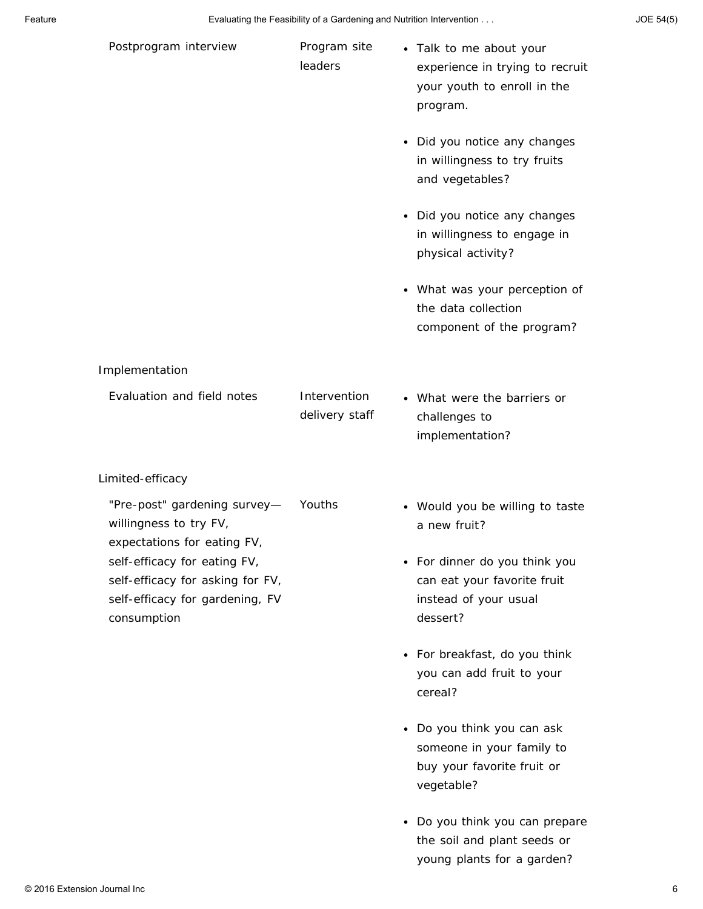|  | JOE 54(5) |  |
|--|-----------|--|
|--|-----------|--|

| Postprogram interview                                                                                              | Program site<br>leaders        | • Talk to me about your<br>experience in trying to recruit<br>your youth to enroll in the<br>program.          |
|--------------------------------------------------------------------------------------------------------------------|--------------------------------|----------------------------------------------------------------------------------------------------------------|
|                                                                                                                    |                                | Did you notice any changes<br>$\bullet$<br>in willingness to try fruits<br>and vegetables?                     |
|                                                                                                                    |                                | • Did you notice any changes<br>in willingness to engage in<br>physical activity?                              |
|                                                                                                                    |                                | • What was your perception of<br>the data collection<br>component of the program?                              |
| Implementation                                                                                                     |                                |                                                                                                                |
| Evaluation and field notes                                                                                         | Intervention<br>delivery staff | • What were the barriers or<br>challenges to<br>implementation?                                                |
| Limited-efficacy                                                                                                   |                                |                                                                                                                |
| "Pre-post" gardening survey-<br>willingness to try FV,<br>expectations for eating FV,                              | Youths                         | Would you be willing to taste<br>$\bullet$<br>a new fruit?                                                     |
| self-efficacy for eating FV,<br>self-efficacy for asking for FV,<br>self-efficacy for gardening, FV<br>consumption |                                | For dinner do you think you<br>٠<br>can eat your favorite fruit<br>instead of your usual<br>dessert?           |
|                                                                                                                    |                                | For breakfast, do you think<br>$\bullet$<br>you can add fruit to your<br>cereal?                               |
|                                                                                                                    |                                | Do you think you can ask<br>$\bullet$<br>someone in your family to<br>buy your favorite fruit or<br>vegetable? |
|                                                                                                                    |                                | Do you think you can prepare<br>$\bullet$<br>the soil and plant seeds or                                       |

young plants for a garden?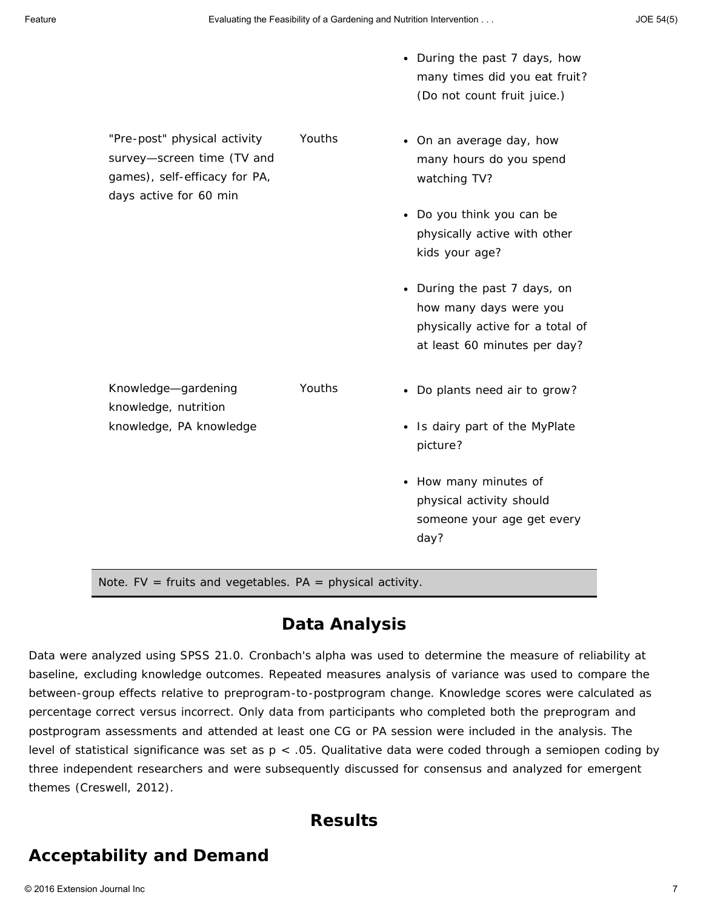|                                                                                                                       |        | • During the past 7 days, how<br>many times did you eat fruit?<br>(Do not count fruit juice.)                              |
|-----------------------------------------------------------------------------------------------------------------------|--------|----------------------------------------------------------------------------------------------------------------------------|
| "Pre-post" physical activity<br>survey-screen time (TV and<br>games), self-efficacy for PA,<br>days active for 60 min | Youths | • On an average day, how<br>many hours do you spend<br>watching TV?                                                        |
|                                                                                                                       |        | Do you think you can be<br>physically active with other<br>kids your age?                                                  |
|                                                                                                                       |        | • During the past 7 days, on<br>how many days were you<br>physically active for a total of<br>at least 60 minutes per day? |
| Knowledge-gardening<br>knowledge, nutrition                                                                           | Youths | • Do plants need air to grow?                                                                                              |
| knowledge, PA knowledge                                                                                               |        | • Is dairy part of the MyPlate<br>picture?                                                                                 |
|                                                                                                                       |        | • How many minutes of<br>physical activity should<br>someone your age get every<br>day?                                    |
| <i>Note.</i> FV = fruits and vegetables. $PA = physical activity$ .                                                   |        |                                                                                                                            |

### **Data Analysis**

Data were analyzed using SPSS 21.0. Cronbach's alpha was used to determine the measure of reliability at baseline, excluding knowledge outcomes. Repeated measures analysis of variance was used to compare the between-group effects relative to preprogram-to-postprogram change. Knowledge scores were calculated as percentage correct versus incorrect. Only data from participants who completed both the preprogram and postprogram assessments and attended at least one CG or PA session were included in the analysis. The level of statistical significance was set as *p* < .05. Qualitative data were coded through a semiopen coding by three independent researchers and were subsequently discussed for consensus and analyzed for emergent themes (Creswell, 2012).

## **Results**

# **Acceptability and Demand**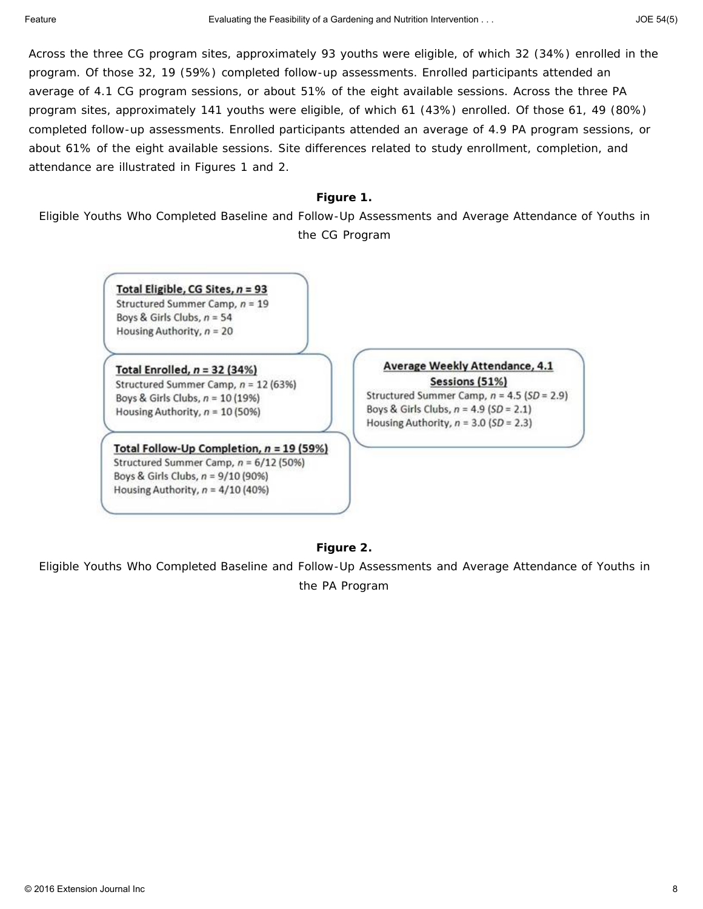Across the three CG program sites, approximately 93 youths were eligible, of which 32 (34%) enrolled in the program. Of those 32, 19 (59%) completed follow-up assessments. Enrolled participants attended an average of 4.1 CG program sessions, or about 51% of the eight available sessions. Across the three PA program sites, approximately 141 youths were eligible, of which 61 (43%) enrolled. Of those 61, 49 (80%) completed follow-up assessments. Enrolled participants attended an average of 4.9 PA program sessions, or about 61% of the eight available sessions. Site differences related to study enrollment, completion, and attendance are illustrated in Figures 1 and 2.

#### **Figure 1.**

Eligible Youths Who Completed Baseline and Follow-Up Assessments and Average Attendance of Youths in the CG Program

> Total Eligible, CG Sites,  $n = 93$ Structured Summer Camp,  $n = 19$ Boys & Girls Clubs,  $n = 54$ Housing Authority,  $n = 20$

Total Enrolled,  $n = 32$  (34%) Structured Summer Camp,  $n = 12(63%)$ Boys & Girls Clubs,  $n = 10(19%)$ Housing Authority,  $n = 10 (50%)$ 

Total Follow-Up Completion,  $n = 19$  (59%) Structured Summer Camp,  $n = 6/12$  (50%) Boys & Girls Clubs,  $n = 9/10$  (90%) Housing Authority,  $n = 4/10$  (40%)

Average Weekly Attendance, 4.1

Sessions (51%) Structured Summer Camp,  $n = 4.5$  (SD = 2.9) Boys & Girls Clubs,  $n = 4.9$  (SD = 2.1) Housing Authority,  $n = 3.0$  (SD = 2.3)

#### **Figure 2.**

Eligible Youths Who Completed Baseline and Follow-Up Assessments and Average Attendance of Youths in the PA Program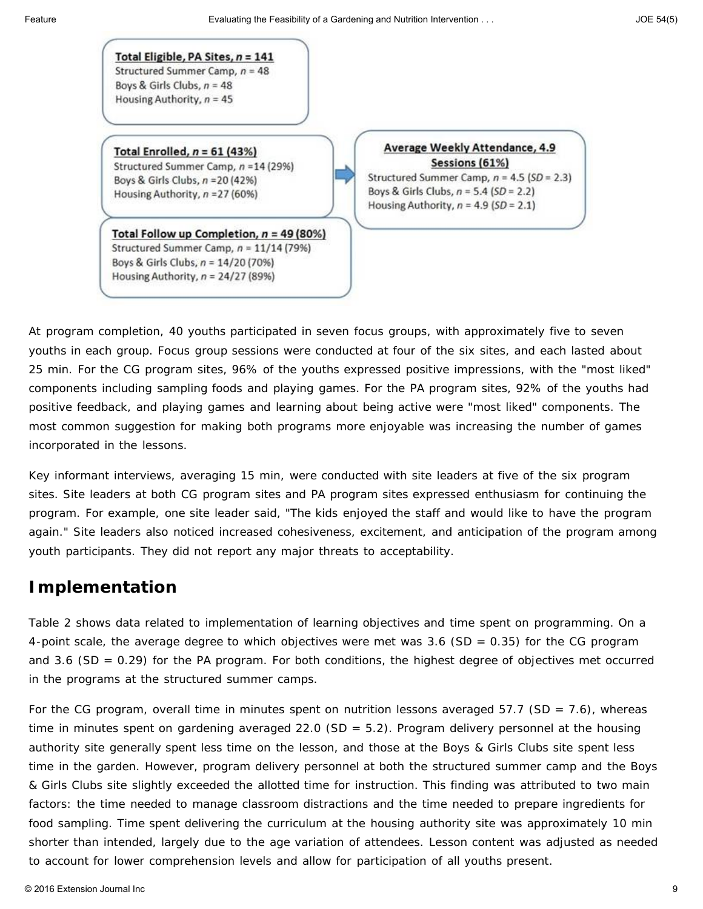Total Eligible, PA Sites,  $n = 141$ Structured Summer Camp,  $n = 48$ Boys & Girls Clubs,  $n = 48$ Housing Authority,  $n = 45$ 

Total Enrolled,  $n = 61$  (43%) Structured Summer Camp, n = 14 (29%) Boys & Girls Clubs, n = 20 (42%)

Housing Authority,  $n = 27(60%)$ 

Total Follow up Completion,  $n = 49$  (80%) Structured Summer Camp,  $n = 11/14$  (79%) Boys & Girls Clubs,  $n = 14/20(70%)$ Housing Authority,  $n = 24/27$  (89%)

Average Weekly Attendance, 4.9 Sessions (61%) Structured Summer Camp,  $n = 4.5$  (SD = 2.3) Boys & Girls Clubs,  $n = 5.4$  (SD = 2.2) Housing Authority,  $n = 4.9$  (SD = 2.1)

At program completion, 40 youths participated in seven focus groups, with approximately five to seven youths in each group. Focus group sessions were conducted at four of the six sites, and each lasted about 25 min. For the CG program sites, 96% of the youths expressed positive impressions, with the "most liked" components including sampling foods and playing games. For the PA program sites, 92% of the youths had positive feedback, and playing games and learning about being active were "most liked" components. The most common suggestion for making both programs more enjoyable was increasing the number of games incorporated in the lessons.

Key informant interviews, averaging 15 min, were conducted with site leaders at five of the six program sites. Site leaders at both CG program sites and PA program sites expressed enthusiasm for continuing the program. For example, one site leader said, "The kids enjoyed the staff and would like to have the program again." Site leaders also noticed increased cohesiveness, excitement, and anticipation of the program among youth participants. They did not report any major threats to acceptability.

# **Implementation**

Table 2 shows data related to implementation of learning objectives and time spent on programming. On a 4-point scale, the average degree to which objectives were met was 3.6 (*SD* = 0.35) for the CG program and 3.6 (*SD* = 0.29) for the PA program. For both conditions, the highest degree of objectives met occurred in the programs at the structured summer camps.

For the CG program, overall time in minutes spent on nutrition lessons averaged 57.7 (*SD* = 7.6), whereas time in minutes spent on gardening averaged 22.0 (*SD* = 5.2). Program delivery personnel at the housing authority site generally spent less time on the lesson, and those at the Boys & Girls Clubs site spent less time in the garden. However, program delivery personnel at both the structured summer camp and the Boys & Girls Clubs site slightly exceeded the allotted time for instruction. This finding was attributed to two main factors: the time needed to manage classroom distractions and the time needed to prepare ingredients for food sampling. Time spent delivering the curriculum at the housing authority site was approximately 10 min shorter than intended, largely due to the age variation of attendees. Lesson content was adjusted as needed to account for lower comprehension levels and allow for participation of all youths present.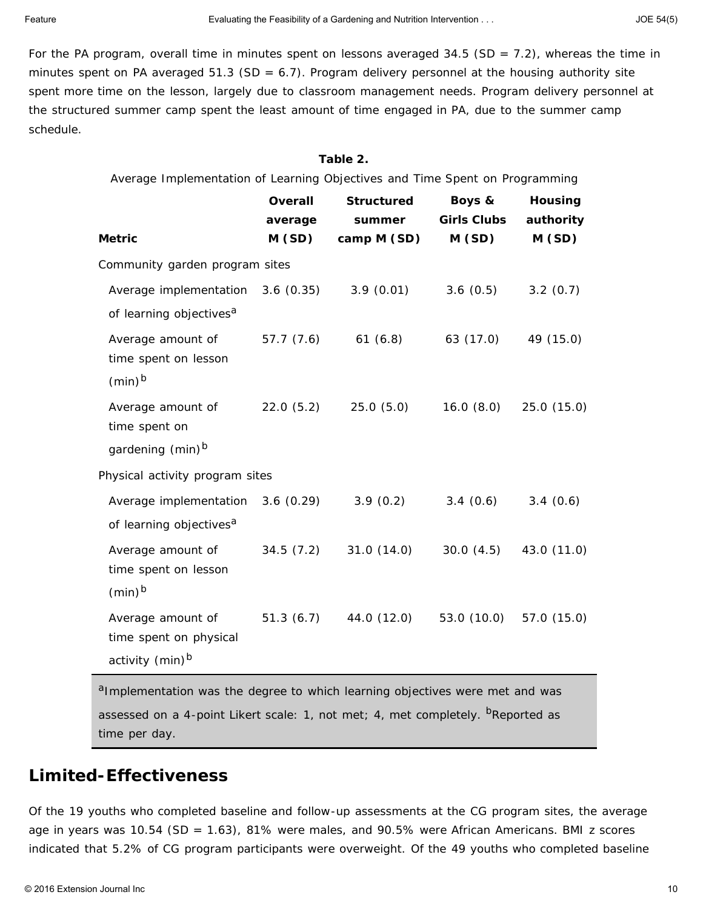For the PA program, overall time in minutes spent on lessons averaged 34.5 (*SD* = 7.2), whereas the time in minutes spent on PA averaged 51.3 (*SD* = 6.7). Program delivery personnel at the housing authority site spent more time on the lesson, largely due to classroom management needs. Program delivery personnel at the structured summer camp spent the least amount of time engaged in PA, due to the summer camp schedule.

#### **Table 2.**

| Average Implementation of Learning Objectives and Time Spent on Programming           |                  |                        |                             |                    |  |  |  |  |
|---------------------------------------------------------------------------------------|------------------|------------------------|-----------------------------|--------------------|--|--|--|--|
|                                                                                       | <b>Overall</b>   | <b>Structured</b>      | Boys &                      | Housing            |  |  |  |  |
| <b>Metric</b>                                                                         | average<br>M(SD) | summer<br>camp $M(SD)$ | <b>Girls Clubs</b><br>M(SD) | authority<br>M(SD) |  |  |  |  |
| Community garden program sites                                                        |                  |                        |                             |                    |  |  |  |  |
| Average implementation 3.6 (0.35)<br>of learning objectives <sup>a</sup>              |                  | 3.9(0.01)              | 3.6(0.5)                    | 3.2(0.7)           |  |  |  |  |
| Average amount of 57.7 (7.6) 61 (6.8)<br>time spent on lesson<br>$(min)^b$            |                  |                        | 63 (17.0)                   | 49 (15.0)          |  |  |  |  |
| Average amount of<br>time spent on<br>gardening (min) <sup>b</sup>                    | 22.0(5.2)        | 25.0(5.0)              | 16.0(8.0)                   | 25.0(15.0)         |  |  |  |  |
|                                                                                       |                  |                        |                             |                    |  |  |  |  |
| Physical activity program sites                                                       |                  |                        |                             |                    |  |  |  |  |
| Average implementation 3.6 (0.29) 3.9 (0.2)<br>of learning objectives <sup>a</sup>    |                  |                        | 3.4(0.6)                    | 3.4(0.6)           |  |  |  |  |
| Average amount of<br>time spent on lesson<br>$(min)^b$                                | 34.5(7.2)        | 31.0 (14.0)            | 30.0(4.5)                   | 43.0 (11.0)        |  |  |  |  |
| Average amount of 51.3 (6.7)<br>time spent on physical<br>activity (min) <sup>b</sup> |                  | 44.0 (12.0)            | 53.0 (10.0)                 | 57.0 (15.0)        |  |  |  |  |

aImplementation was the degree to which learning objectives were met and was assessed on a 4-point Likert scale: 1, *not met*; 4, *met completely*. <sup>b</sup>Reported as time per day.

### **Limited-Effectiveness**

Of the 19 youths who completed baseline and follow-up assessments at the CG program sites, the average age in years was 10.54 (*SD* = 1.63), 81% were males, and 90.5% were African Americans. BMI *z* scores indicated that 5.2% of CG program participants were overweight. Of the 49 youths who completed baseline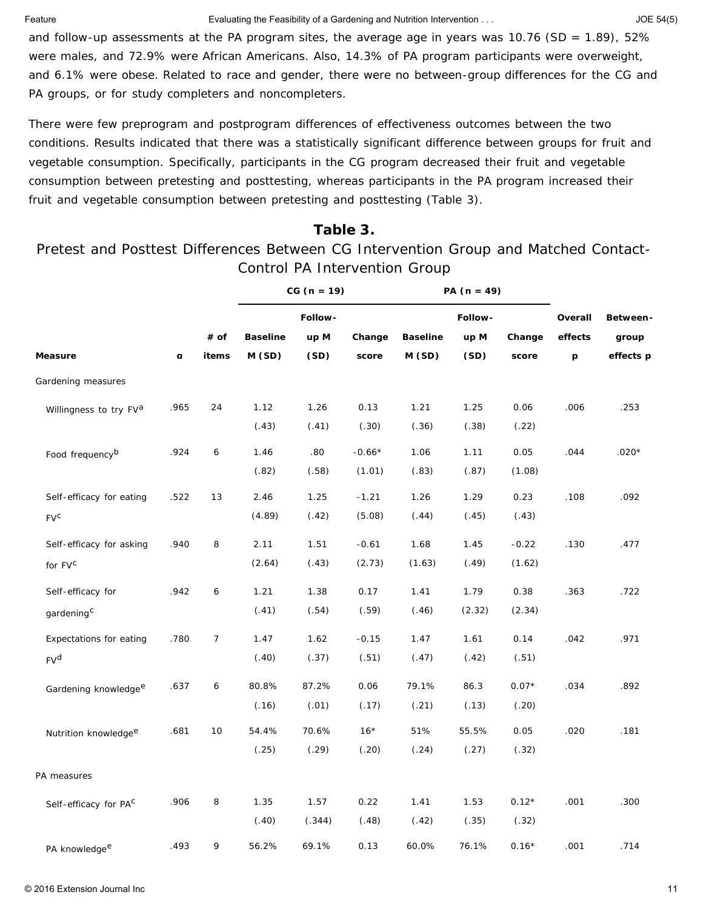Feature Evaluating the Feasibility of a Gardening and Nutrition Intervention . . . JOE 54(5)

and follow-up assessments at the PA program sites, the average age in years was 10.76 (*SD* = 1.89), 52% were males, and 72.9% were African Americans. Also, 14.3% of PA program participants were overweight, and 6.1% were obese. Related to race and gender, there were no between-group differences for the CG and PA groups, or for study completers and noncompleters.

There were few preprogram and postprogram differences of effectiveness outcomes between the two conditions. Results indicated that there was a statistically significant difference between groups for fruit and vegetable consumption. Specifically, participants in the CG program decreased their fruit and vegetable consumption between pretesting and posttesting, whereas participants in the PA program increased their fruit and vegetable consumption between pretesting and posttesting (Table 3).

### **Table 3.**

Pretest and Posttest Differences Between CG Intervention Group and Matched Contact-Control PA Intervention Group

|                                  |              |       |                 | $CG (n = 19)$ |          |                 | PA $(n = 49)$ |         |                  |           |
|----------------------------------|--------------|-------|-----------------|---------------|----------|-----------------|---------------|---------|------------------|-----------|
|                                  |              |       |                 | Follow-       |          |                 | Follow-       |         | Overall          | Between-  |
|                                  |              | # of  | <b>Baseline</b> | $up$ $M$      | Change   | <b>Baseline</b> | $up$ $M$      | Change  | effects          | group     |
| <b>Measure</b>                   | $\mathbf{a}$ | items | M(SD)           | (SD)          | score    | M(SD)           | (SD)          | score   | $\boldsymbol{p}$ | effects p |
| Gardening measures               |              |       |                 |               |          |                 |               |         |                  |           |
| Willingness to try FVa           | .965         | 24    | 1.12            | 1.26          | 0.13     | 1.21            | 1.25          | 0.06    | .006             | .253      |
|                                  |              |       | (.43)           | (.41)         | (.30)    | (.36)           | (.38)         | (.22)   |                  |           |
| Food frequency <sup>b</sup>      | .924         | 6     | 1.46            | .80           | $-0.66*$ | 1.06            | 1.11          | 0.05    | .044             | $.020*$   |
|                                  |              |       | (.82)           | (.58)         | (1.01)   | (.83)           | (.87)         | (1.08)  |                  |           |
| Self-efficacy for eating         | .522         | $13$  | 2.46            | 1.25          | $-1.21$  | 1.26            | 1.29          | 0.23    | .108             | .092      |
| $FV^C$                           |              |       | (4.89)          | (.42)         | (5.08)   | (.44)           | (.45)         | (.43)   |                  |           |
| Self-efficacy for asking         | .940         | 8     | 2.11            | 1.51          | $-0.61$  | 1.68            | 1.45          | $-0.22$ | .130             | .477      |
| for $FV^C$                       |              |       | (2.64)          | (.43)         | (2.73)   | (1.63)          | (.49)         | (1.62)  |                  |           |
| Self-efficacy for                | .942         | 6     | 1.21            | 1.38          | 0.17     | 1.41            | 1.79          | 0.38    | .363             | .722      |
| gardening <sup>C</sup>           |              |       | (.41)           | (.54)         | (.59)    | (.46)           | (2.32)        | (2.34)  |                  |           |
| Expectations for eating          | .780         | 7     | 1.47            | 1.62          | $-0.15$  | 1.47            | 1.61          | 0.14    | .042             | .971      |
| $FV^d$                           |              |       | (.40)           | (.37)         | (.51)    | (.47)           | (.42)         | (.51)   |                  |           |
| Gardening knowledge <sup>e</sup> | .637         | 6     | 80.8%           | 87.2%         | 0.06     | 79.1%           | 86.3          | $0.07*$ | .034             | .892      |
|                                  |              |       | (.16)           | (.01)         | (.17)    | (.21)           | (.13)         | (.20)   |                  |           |
| Nutrition knowledge <sup>e</sup> | .681         | 10    | 54.4%           | 70.6%         | $16*$    | 51%             | 55.5%         | 0.05    | .020             | .181      |
|                                  |              |       | (.25)           | (.29)         | (.20)    | (.24)           | (.27)         | (.32)   |                  |           |
| PA measures                      |              |       |                 |               |          |                 |               |         |                  |           |
| Self-efficacy for PAC            | .906         | 8     | 1.35            | 1.57          | 0.22     | 1.41            | 1.53          | $0.12*$ | .001             | .300      |
|                                  |              |       | (.40)           | (.344)        | (.48)    | (.42)           | (.35)         | (.32)   |                  |           |
| PA knowledge <sup>e</sup>        | .493         | 9     | 56.2%           | 69.1%         | 0.13     | 60.0%           | 76.1%         | $0.16*$ | .001             | .714      |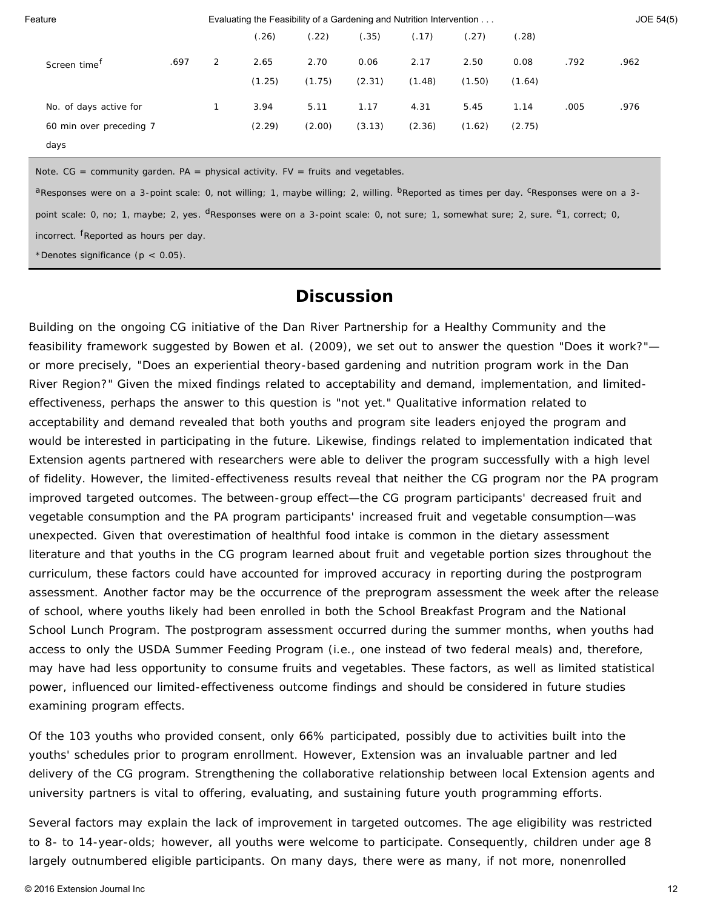| Feature                  | Evaluating the Feasibility of a Gardening and Nutrition Intervention |   |        |        |        |        |        | JOE 54(5) |      |      |  |
|--------------------------|----------------------------------------------------------------------|---|--------|--------|--------|--------|--------|-----------|------|------|--|
|                          |                                                                      |   | (.26)  | (.22)  | (.35)  | (.17)  | (.27)  | (.28)     |      |      |  |
| Screen time <sup>T</sup> | .697                                                                 | 2 | 2.65   | 2.70   | 0.06   | 2.17   | 2.50   | 0.08      | .792 | .962 |  |
|                          |                                                                      |   | (1.25) | (1.75) | (2.31) | (1.48) | (1.50) | (1.64)    |      |      |  |
| No. of days active for   |                                                                      |   | 3.94   | 5.11   | 1.17   | 4.31   | 5.45   | 1.14      | .005 | .976 |  |
| 60 min over preceding 7  |                                                                      |   | (2.29) | (2.00) | (3.13) | (2.36) | (1.62) | (2.75)    |      |      |  |
| days                     |                                                                      |   |        |        |        |        |        |           |      |      |  |

*Note.* CG = community garden. PA = physical activity. FV = fruits and vegetables.

aResponses were on a 3-point scale: 0, *not willing*; 1, *maybe willing*; 2, *willing*. <sup>b</sup>Reported as times per day. <sup>c</sup>Responses were on a 3-

point scale: 0, *no*; 1, *maybe*; 2, yes. <sup>d</sup>Responses were on a 3-point scale: 0, *not sure*; 1, *somewhat sure*; 2, *sure*. <sup>e</sup>1, correct; 0,

incorrect. <sup>f</sup>Reported as hours per day.

\*Denotes significance (*p* < 0.05).

### **Discussion**

Building on the ongoing CG initiative of the Dan River Partnership for a Healthy Community and the feasibility framework suggested by Bowen et al. (2009), we set out to answer the question "Does it work?" or more precisely, "Does an experiential theory-based gardening and nutrition program work in the Dan River Region?" Given the mixed findings related to acceptability and demand, implementation, and limitedeffectiveness, perhaps the answer to this question is "not yet." Qualitative information related to acceptability and demand revealed that both youths and program site leaders enjoyed the program and would be interested in participating in the future. Likewise, findings related to implementation indicated that Extension agents partnered with researchers were able to deliver the program successfully with a high level of fidelity. However, the limited-effectiveness results reveal that neither the CG program nor the PA program improved targeted outcomes. The between-group effect—the CG program participants' decreased fruit and vegetable consumption and the PA program participants' increased fruit and vegetable consumption—was unexpected. Given that overestimation of healthful food intake is common in the dietary assessment literature and that youths in the CG program learned about fruit and vegetable portion sizes throughout the curriculum, these factors could have accounted for improved accuracy in reporting during the postprogram assessment. Another factor may be the occurrence of the preprogram assessment the week after the release of school, where youths likely had been enrolled in both the School Breakfast Program and the National School Lunch Program. The postprogram assessment occurred during the summer months, when youths had access to only the USDA Summer Feeding Program (i.e., one instead of two federal meals) and, therefore, may have had less opportunity to consume fruits and vegetables. These factors, as well as limited statistical power, influenced our limited-effectiveness outcome findings and should be considered in future studies examining program effects.

Of the 103 youths who provided consent, only 66% participated, possibly due to activities built into the youths' schedules prior to program enrollment. However, Extension was an invaluable partner and led delivery of the CG program. Strengthening the collaborative relationship between local Extension agents and university partners is vital to offering, evaluating, and sustaining future youth programming efforts.

Several factors may explain the lack of improvement in targeted outcomes. The age eligibility was restricted to 8- to 14-year-olds; however, all youths were welcome to participate. Consequently, children under age 8 largely outnumbered eligible participants. On many days, there were as many, if not more, nonenrolled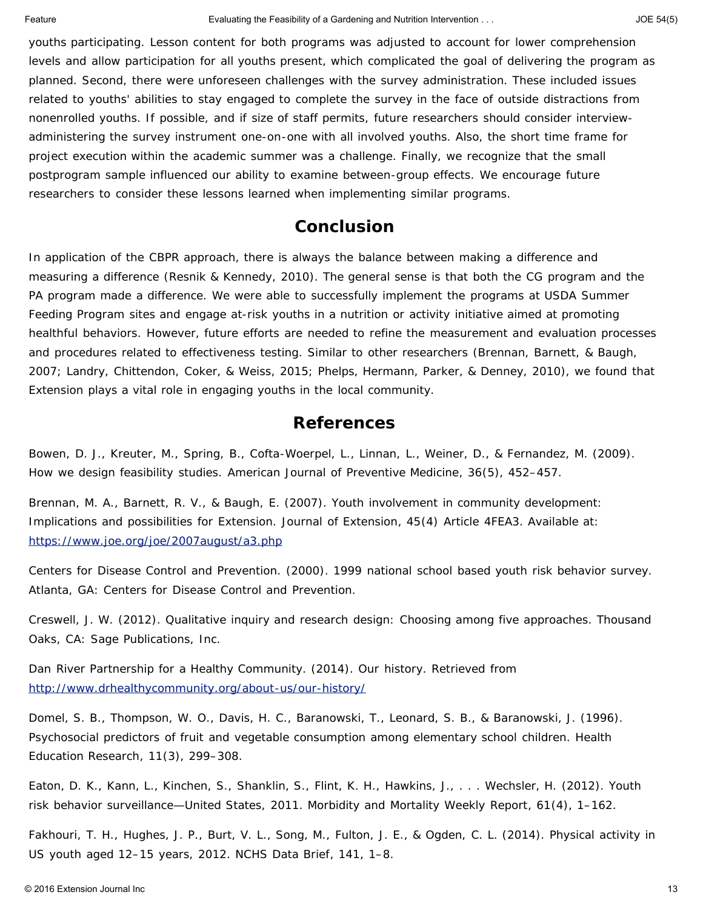youths participating. Lesson content for both programs was adjusted to account for lower comprehension levels and allow participation for all youths present, which complicated the goal of delivering the program as planned. Second, there were unforeseen challenges with the survey administration. These included issues related to youths' abilities to stay engaged to complete the survey in the face of outside distractions from nonenrolled youths. If possible, and if size of staff permits, future researchers should consider interviewadministering the survey instrument one-on-one with all involved youths. Also, the short time frame for project execution within the academic summer was a challenge. Finally, we recognize that the small postprogram sample influenced our ability to examine between-group effects. We encourage future researchers to consider these lessons learned when implementing similar programs.

## **Conclusion**

In application of the CBPR approach, there is always the balance between making a difference and measuring a difference (Resnik & Kennedy, 2010). The general sense is that both the CG program and the PA program made a difference. We were able to successfully implement the programs at USDA Summer Feeding Program sites and engage at-risk youths in a nutrition or activity initiative aimed at promoting healthful behaviors. However, future efforts are needed to refine the measurement and evaluation processes and procedures related to effectiveness testing. Similar to other researchers (Brennan, Barnett, & Baugh, 2007; Landry, Chittendon, Coker, & Weiss, 2015; Phelps, Hermann, Parker, & Denney, 2010), we found that Extension plays a vital role in engaging youths in the local community.

### **References**

Bowen, D. J., Kreuter, M., Spring, B., Cofta-Woerpel, L., Linnan, L., Weiner, D., & Fernandez, M. (2009). How we design feasibility studies. *American Journal of Preventive Medicine*, *36*(5), 452–457.

Brennan, M. A., Barnett, R. V., & Baugh, E. (2007). Youth involvement in community development: Implications and possibilities for Extension. *Journal of Extension*, *45*(4) Article 4FEA3. Available at: <https://www.joe.org/joe/2007august/a3.php>

Centers for Disease Control and Prevention. (2000). *1999 national school based youth risk behavior survey.* Atlanta, GA: Centers for Disease Control and Prevention.

Creswell, J. W. (2012). *Qualitative inquiry and research design: Choosing among five approaches*. Thousand Oaks, CA: Sage Publications, Inc.

Dan River Partnership for a Healthy Community. (2014). Our history. Retrieved from <http://www.drhealthycommunity.org/about-us/our-history/>

Domel, S. B., Thompson, W. O., Davis, H. C., Baranowski, T., Leonard, S. B., & Baranowski, J. (1996). Psychosocial predictors of fruit and vegetable consumption among elementary school children. *Health Education Research*, *11*(3), 299–308.

Eaton, D. K., Kann, L., Kinchen, S., Shanklin, S., Flint, K. H., Hawkins, J., . . . Wechsler, H. (2012). Youth risk behavior surveillance—United States, 2011. *Morbidity and Mortality Weekly Report*, *61*(4), 1–162.

Fakhouri, T. H., Hughes, J. P., Burt, V. L., Song, M., Fulton, J. E., & Ogden, C. L. (2014). Physical activity in US youth aged 12–15 years, 2012. *NCHS Data Brief*, *141*, 1–8.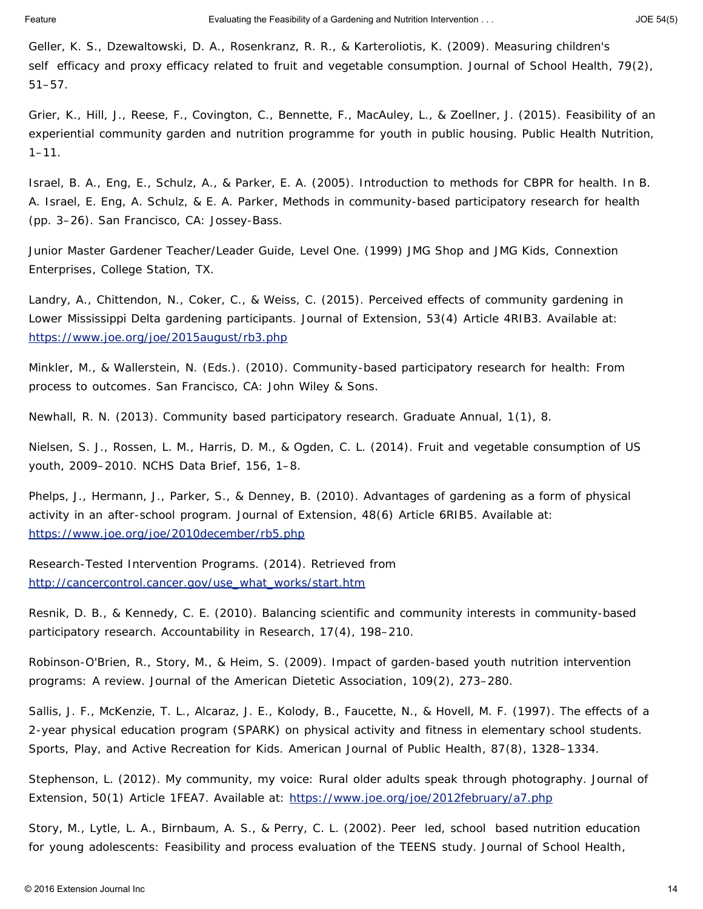Geller, K. S., Dzewaltowski, D. A., Rosenkranz, R. R., & Karteroliotis, K. (2009). Measuring children's self efficacy and proxy efficacy related to fruit and vegetable consumption. *Journal of School Health*, *79*(2), 51–57.

Grier, K., Hill, J., Reese, F., Covington, C., Bennette, F., MacAuley, L., & Zoellner, J. (2015). Feasibility of an experiential community garden and nutrition programme for youth in public housing. *Public Health Nutrition*, 1–11.

Israel, B. A., Eng, E., Schulz, A., & Parker, E. A. (2005). Introduction to methods for CBPR for health. In B. A. Israel, E. Eng, A. Schulz, & E. A. Parker, *Methods in community-based participatory research for health* (pp. 3–26). San Francisco, CA: Jossey-Bass.

Junior Master Gardener Teacher/Leader Guide, Level One. (1999) *JMG Shop and JMG Kids, Connextion Enterprises*, College Station, TX.

Landry, A., Chittendon, N., Coker, C., & Weiss, C. (2015). Perceived effects of community gardening in Lower Mississippi Delta gardening participants. *Journal of Extension*, *53*(4) Article 4RIB3. Available at: <https://www.joe.org/joe/2015august/rb3.php>

Minkler, M., & Wallerstein, N. (Eds.). (2010). *Community-based participatory research for health: From process to outcomes*. San Francisco, CA: John Wiley & Sons.

Newhall, R. N. (2013). Community based participatory research. *Graduate Annual*, *1*(1), 8.

Nielsen, S. J., Rossen, L. M., Harris, D. M., & Ogden, C. L. (2014). Fruit and vegetable consumption of US youth, 2009–2010. *NCHS Data Brief*, *156*, 1–8.

Phelps, J., Hermann, J., Parker, S., & Denney, B. (2010). Advantages of gardening as a form of physical activity in an after-school program. *Journal of Extension*, *48*(6) Article 6RIB5. Available at: <https://www.joe.org/joe/2010december/rb5.php>

Research-Tested Intervention Programs. (2014). Retrieved from [http://cancercontrol.cancer.gov/use\\_what\\_works/start.htm](http://cancercontrol.cancer.gov/use_what_works/start.htm)

Resnik, D. B., & Kennedy, C. E. (2010). Balancing scientific and community interests in community-based participatory research. *Accountability in Research*, *17*(4), 198–210.

Robinson-O'Brien, R., Story, M., & Heim, S. (2009). Impact of garden-based youth nutrition intervention programs: A review. *Journal of the American Dietetic Association*, *109*(2), 273–280.

Sallis, J. F., McKenzie, T. L., Alcaraz, J. E., Kolody, B., Faucette, N., & Hovell, M. F. (1997). The effects of a 2-year physical education program (SPARK) on physical activity and fitness in elementary school students. Sports, Play, and Active Recreation for Kids. *American Journal of Public Health*, *87*(8), 1328–1334.

Stephenson, L. (2012). My community, my voice: Rural older adults speak through photography. *Journal of Extension*, *50*(1) Article 1FEA7. Available at: <https://www.joe.org/joe/2012february/a7.php>

Story, M., Lytle, L. A., Birnbaum, A. S., & Perry, C. L. (2002). Peer led, school based nutrition education for young adolescents: Feasibility and process evaluation of the TEENS study. *Journal of School Health*,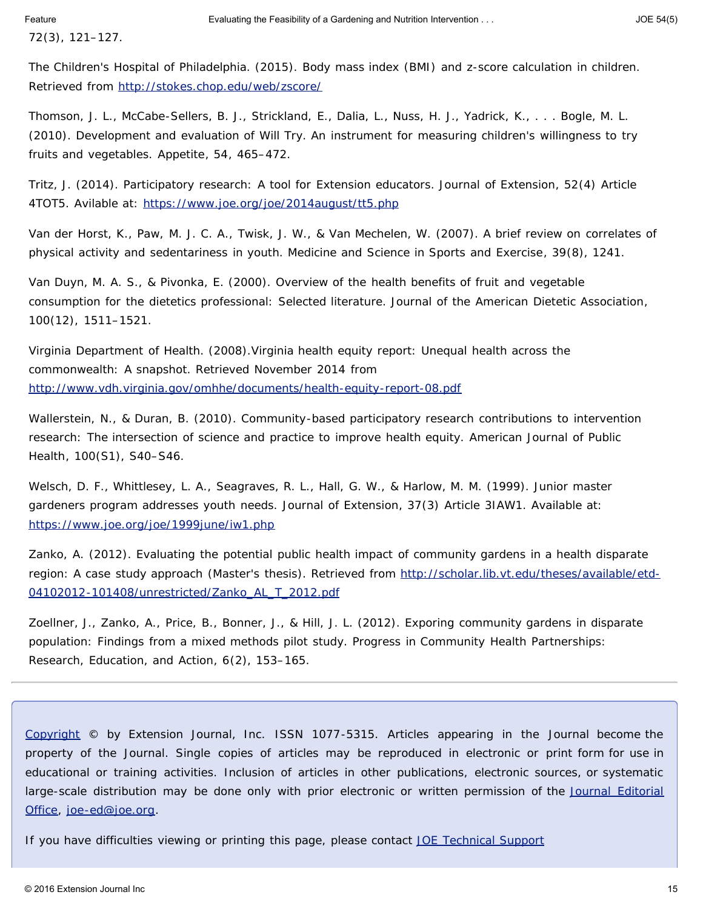*72*(3), 121–127.

The Children's Hospital of Philadelphia. (2015). Body mass index (BMI) and z-score calculation in children. Retrieved from <http://stokes.chop.edu/web/zscore/>

Thomson, J. L., McCabe-Sellers, B. J., Strickland, E., Dalia, L., Nuss, H. J., Yadrick, K., . . . Bogle, M. L. (2010). Development and evaluation of Will Try. An instrument for measuring children's willingness to try fruits and vegetables. *Appetite*, *54*, 465–472.

Tritz, J. (2014). Participatory research: A tool for Extension educators. *Journal of Extension*, *52*(4) Article 4TOT5. Avilable at: <https://www.joe.org/joe/2014august/tt5.php>

Van der Horst, K., Paw, M. J. C. A., Twisk, J. W., & Van Mechelen, W. (2007). A brief review on correlates of physical activity and sedentariness in youth. *Medicine and Science in Sports and Exercise*, *39*(8), 1241.

Van Duyn, M. A. S., & Pivonka, E. (2000). Overview of the health benefits of fruit and vegetable consumption for the dietetics professional: Selected literature. *Journal of the American Dietetic Association*, *100*(12), 1511–1521.

Virginia Department of Health. (2008).Virginia health equity report: Unequal health across the commonwealth: A snapshot. Retrieved November 2014 from <http://www.vdh.virginia.gov/omhhe/documents/health-equity-report-08.pdf>

Wallerstein, N., & Duran, B. (2010). Community-based participatory research contributions to intervention research: The intersection of science and practice to improve health equity. *American Journal of Public Health*, *100*(S1), S40–S46.

Welsch, D. F., Whittlesey, L. A., Seagraves, R. L., Hall, G. W., & Harlow, M. M. (1999). Junior master gardeners program addresses youth needs. *Journal of Extension*, *37*(3) Article 3IAW1. Available at: <https://www.joe.org/joe/1999june/iw1.php>

Zanko, A. (2012). *Evaluating the potential public health impact of community gardens in a health disparate region: A case study approach* (Master's thesis). Retrieved from [http://scholar.lib.vt.edu/theses/available/etd-](http://scholar.lib.vt.edu/theses/available/etd-04102012-101408/unrestricted/Zanko_AL_T_2012.pdf)[04102012-101408/unrestricted/Zanko\\_AL\\_T\\_2012.pdf](http://scholar.lib.vt.edu/theses/available/etd-04102012-101408/unrestricted/Zanko_AL_T_2012.pdf)

Zoellner, J., Zanko, A., Price, B., Bonner, J., & Hill, J. L. (2012). Exporing community gardens in disparate population: Findings from a mixed methods pilot study. *Progress in Community Health Partnerships: Research, Education, and Action*, *6*(2), 153–165.

*[Copyright](https://joe.org/about-joe-copyright-policy.php) © by Extension Journal, Inc.* ISSN 1077-5315. Articles appearing in the Journal become the property of the Journal. Single copies of articles may be reproduced in electronic or print form for use in educational or training activities. Inclusion of articles in other publications, electronic sources, or systematic large-scale distribution may be done only with prior electronic or written permission of the *[Journal Editorial](https://www.joe.org/joe-jeo.html) [Office](https://www.joe.org/joe-jeo.html)*, *[joe-ed@joe.org](mailto:joe-ed@joe.org)*.

If you have difficulties viewing or printing this page, please contact *[JOE](https://www.joe.org/techsupport.html)* [Technical Support](https://joe.org/contact-joe.php)